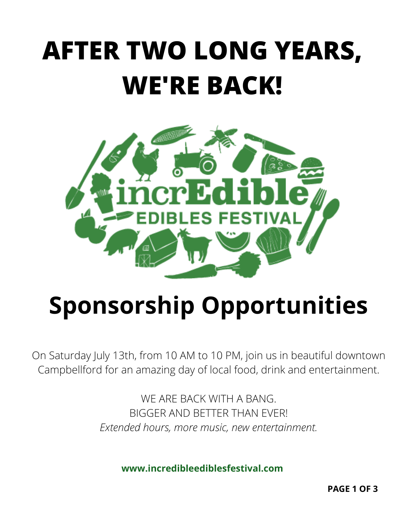# **AFTER TWO LONG YEARS, WE'RE BACK!**



## **Sponsorship Opportunities**

On Saturday July 13th, from 10 AM to 10 PM, join us in beautiful downtown Campbellford for an amazing day of local food, drink and entertainment.

> WE ARE BACK WITH A BANG. BIGGER AND BETTER THAN EVER! *Extended hours, more music, new entertainment.*

> > **www.incredibleediblesfestival.com**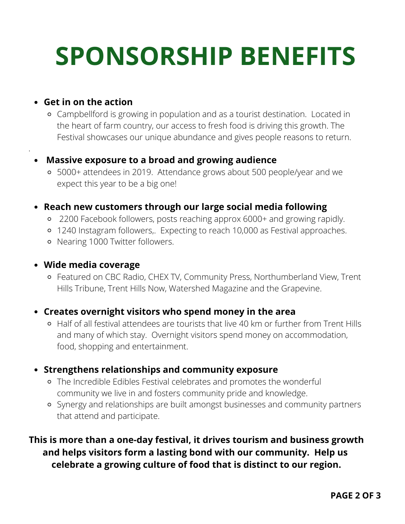# **SPONSORSHIP BENEFITS**

#### **Get in on the action**

.

Campbellford is growing in population and as a tourist destination. Located in the heart of farm country, our access to fresh food is driving this growth. The Festival showcases our unique abundance and gives people reasons to return.

#### **Massive exposure to a broad and growing audience**

5000+ attendees in 2019. Attendance grows about 500 people/year and we expect this year to be a big one!

#### **Reach new customers through our large social media following**

- 2200 Facebook followers, posts reaching approx 6000+ and growing rapidly.
- 1240 Instagram followers,. Expecting to reach 10,000 as Festival approaches.
- o Nearing 1000 Twitter followers.

#### **Wide media coverage**

Featured on CBC Radio, CHEX TV, Community Press, Northumberland View, Trent Hills Tribune, Trent Hills Now, Watershed Magazine and the Grapevine.

#### **Creates overnight visitors who spend money in the area**

Half of all festival attendees are tourists that live 40 km or further from Trent Hills and many of which stay. Overnight visitors spend money on accommodation, food, shopping and entertainment.

#### **Strengthens relationships and community exposure**

- The Incredible Edibles Festival celebrates and promotes the wonderful community we live in and fosters community pride and knowledge.
- Synergy and relationships are built amongst businesses and community partners that attend and participate.

### **This is more than a one-day festival, it drives tourism and business growth and helps visitors form a lasting bond with our community. Help us celebrate a growing culture of food that is distinct to our region.**